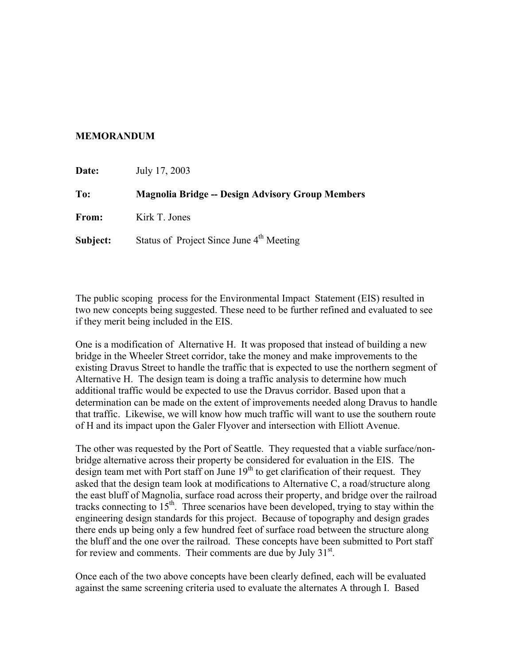## **MEMORANDUM**

| Date:    | July 17, 2003                                           |
|----------|---------------------------------------------------------|
| To:      | <b>Magnolia Bridge -- Design Advisory Group Members</b> |
| From:    | Kirk T. Jones                                           |
| Subject: | Status of Project Since June 4 <sup>th</sup> Meeting    |

The public scoping process for the Environmental Impact Statement (EIS) resulted in two new concepts being suggested. These need to be further refined and evaluated to see if they merit being included in the EIS.

One is a modification of Alternative H. It was proposed that instead of building a new bridge in the Wheeler Street corridor, take the money and make improvements to the existing Dravus Street to handle the traffic that is expected to use the northern segment of Alternative H. The design team is doing a traffic analysis to determine how much additional traffic would be expected to use the Dravus corridor. Based upon that a determination can be made on the extent of improvements needed along Dravus to handle that traffic. Likewise, we will know how much traffic will want to use the southern route of H and its impact upon the Galer Flyover and intersection with Elliott Avenue.

The other was requested by the Port of Seattle. They requested that a viable surface/nonbridge alternative across their property be considered for evaluation in the EIS. The design team met with Port staff on June  $19<sup>th</sup>$  to get clarification of their request. They asked that the design team look at modifications to Alternative C, a road/structure along the east bluff of Magnolia, surface road across their property, and bridge over the railroad tracks connecting to  $15<sup>th</sup>$ . Three scenarios have been developed, trying to stay within the engineering design standards for this project. Because of topography and design grades there ends up being only a few hundred feet of surface road between the structure along the bluff and the one over the railroad. These concepts have been submitted to Port staff for review and comments. Their comments are due by July  $31<sup>st</sup>$ .

Once each of the two above concepts have been clearly defined, each will be evaluated against the same screening criteria used to evaluate the alternates A through I. Based